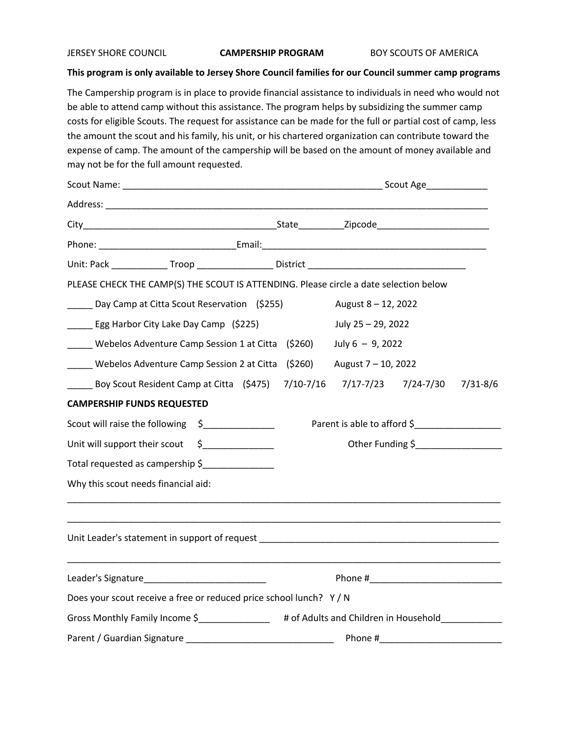JERSEY SHORE COUNCIL **CAMPERSHIP PROGRAM** BOY SCOUTS OF AMERICA

## **This program is only available to Jersey Shore Council families for our Council summer camp programs**

The Campership program is in place to provide financial assistance to individuals in need who would not be able to attend camp without this assistance. The program helps by subsidizing the summer camp costs for eligible Scouts. The request for assistance can be made for the full or partial cost of camp, less the amount the scout and his family, his unit, or his chartered organization can contribute toward the expense of camp. The amount of the campership will be based on the amount of money available and may not be for the full amount requested.

| PLEASE CHECK THE CAMP(S) THE SCOUT IS ATTENDING. Please circle a date selection below |         |                                                                                                |                             |  |              |  |
|---------------------------------------------------------------------------------------|---------|------------------------------------------------------------------------------------------------|-----------------------------|--|--------------|--|
| _____ Day Camp at Citta Scout Reservation (\$255)                                     |         |                                                                                                | August 8 - 12, 2022         |  |              |  |
| _____ Egg Harbor City Lake Day Camp (\$225)                                           |         |                                                                                                | July 25 - 29, 2022          |  |              |  |
| _____ Webelos Adventure Camp Session 1 at Citta (\$260)                               |         |                                                                                                | July $6 - 9$ , 2022         |  |              |  |
| _____ Webelos Adventure Camp Session 2 at Citta (\$260)                               |         |                                                                                                | August 7 - 10, 2022         |  |              |  |
| Boy Scout Resident Camp at Citta (\$475) 7/10-7/16 7/17-7/23 7/24-7/30                |         |                                                                                                |                             |  | $7/31 - 8/6$ |  |
| <b>CAMPERSHIP FUNDS REQUESTED</b>                                                     |         |                                                                                                |                             |  |              |  |
| Scout will raise the following \$                                                     |         |                                                                                                | Parent is able to afford \$ |  |              |  |
| Unit will support their scout \$____________                                          |         | Other Funding \$                                                                               |                             |  |              |  |
| Total requested as campership \$                                                      |         |                                                                                                |                             |  |              |  |
| Why this scout needs financial aid:                                                   |         |                                                                                                |                             |  |              |  |
|                                                                                       |         |                                                                                                |                             |  |              |  |
| Leader's Signature___________________________                                         |         |                                                                                                |                             |  |              |  |
| Does your scout receive a free or reduced price school lunch? Y / N                   |         |                                                                                                |                             |  |              |  |
|                                                                                       |         | Gross Monthly Family Income \$________________# of Adults and Children in Household___________ |                             |  |              |  |
| Parent / Guardian Signature                                                           | Phone # |                                                                                                |                             |  |              |  |